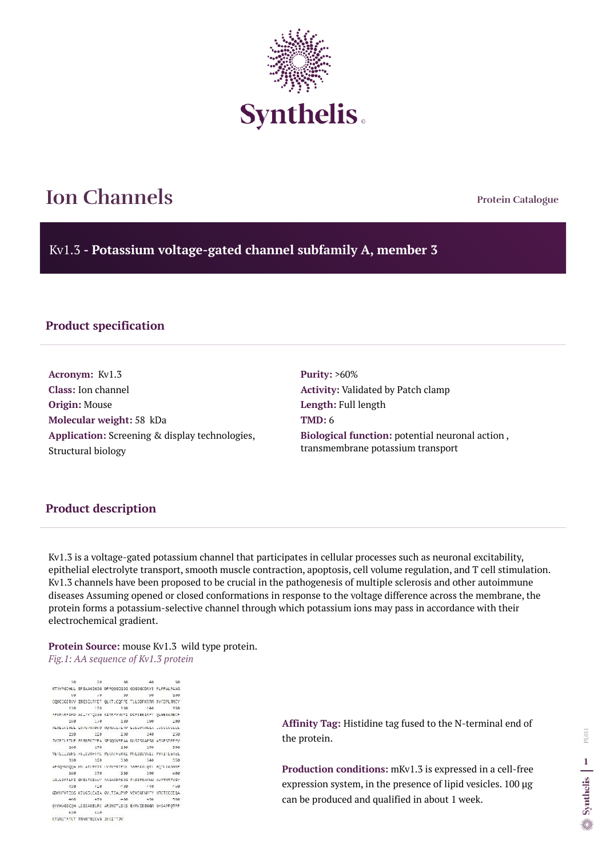**Protein Catalogue**

Kv1.3 **- Potassium voltage-gated channel subfamily A, member 3**



# **Ion Channels**

## **Product specification**

**Acronym:** Kv1.3 **Class:** Ion channel **Origin:** Mouse **Molecular weight:** 58 kDa **Application:** Screening & display technologies, Structural biology

**Purity:** >60% **Activity:** Validated by Patch clamp **Length:** Full length **TMD:** 6 **Biological function:** potential neuronal action , transmembrane potassium transport

#### **Product description**

Kv1.3 is a voltage-gated potassium channel that participates in cellular processes such as neuronal excitability, epithelial electrolyte transport, smooth muscle contraction, apoptosis, cell volume regulation, and T cell stimulation. Kv1.3 channels have been proposed to be crucial in the pathogenesis of multiple sclerosis and other autoimmune diseases Assuming opened or closed conformations in response to the voltage difference across the membrane, the protein forms a potassium-selective channel through which potassium ions may pass in accordance with their electrochemical gradient.

#### **Protein Source:** mouse Kv1.3 wild type protein. *Fig.1: AA sequence of Kv1.3 protein*

 $-3.01$  $-40$  $78$  $20$ 58 MTWPGDHLL EPEAAGSGSG DPPQGGDGSG GSGGGCDRYE PLPPALPAAG 60 70 80 90 199 COOCCGERAV INESCLAFET QUITLICOFPE TLLCDPKRAM RYFOPLANCY 110. 120 130 140 15A FFDRARFSFD AILYWYQSGG RIRRFWWPI DIFSEEIRFY QLGEEAMEKF 150 170 180 199 -269 KEDEGFLKEE EKPLPKRDFQ KOWLLFEYP ESSGPARGEA IVSVIVILLS 210 220 230 240 250 EVERGLETLE FERDEKTYPA SPSQOVERAA NASTSGAPSG ASSESDEEN. 260 270 280 290 300 VETLICINES FELLVREFAL PSKATFSRAI MALIDIVALI PYFITLGTEL 010 020 030 040 050 AFROSNSOOA MS ATLEVIR LVRVERTEKL SEHSKALOTI GOTLKASNRE 360 370 380 390  $\angle$ ee UGLLIFFLFI GVILFSSAVY FABAODPSSG FYSIPDAFNW AVVTMTTVGY 110 120 130 449 450 GDMHPVTICG KIVGSLCAIA GVLTIALPVP VIVSNFNYFY HRETECCEQA 468 478 488  $-298$ 588 QYMHUGSCQH LSSSAEELRK ARSNSTLSKS EYMVIEEGGM N-SAFPQTPF 510 520 KTGNSTATCT THNNPNSCVN IKKIFTOV

**Affinity Tag:** Histidine tag fused to the N-terminal end of the protein.

**Production conditions:** mKv1.3 is expressed in a cell-free expression system, in the presence of lipid vesicles. 100 µg can be produced and qualified in about 1 week.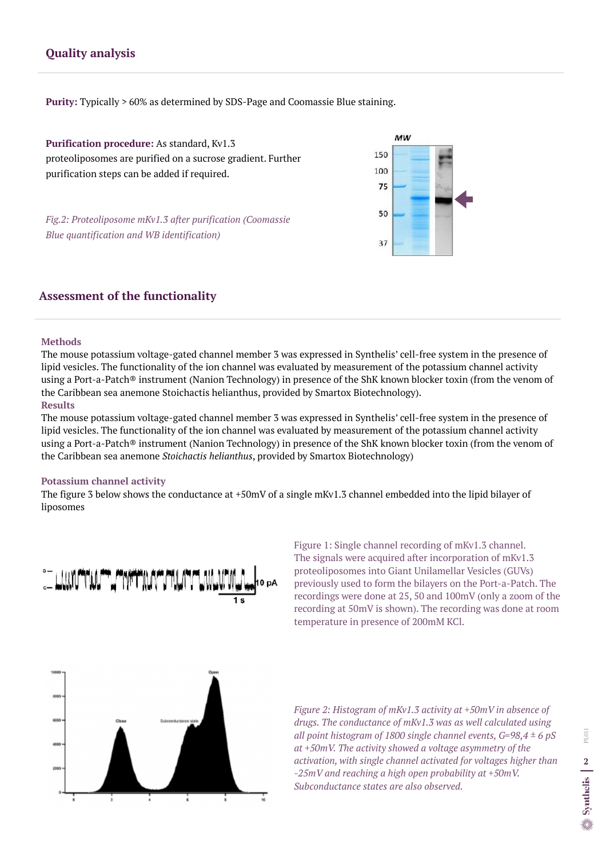#### **Methods**

The mouse potassium voltage-gated channel member 3 was expressed in Synthelis' cell-free system in the presence of lipid vesicles. The functionality of the ion channel was evaluated by measurement of the potassium channel activity using a Port-a-Patch® instrument (Nanion Technology) in presence of the ShK known blocker toxin (from the venom of the Caribbean sea anemone Stoichactis helianthus, provided by Smartox Biotechnology). **Results**

The mouse potassium voltage-gated channel member 3 was expressed in Synthelis' cell-free system in the presence of lipid vesicles. The functionality of the ion channel was evaluated by measurement of the potassium channel activity using a Port-a-Patch® instrument (Nanion Technology) in presence of the ShK known blocker toxin (from the venom of the Caribbean sea anemone *Stoichactis helianthus*, provided by Smartox Biotechnology)



#### **Potassium channel activity**

The figure 3 below shows the conductance at +50mV of a single mKv1.3 channel embedded into the lipid bilayer of liposomes



# **Assessment of the functionality**

# **Quality analysis**

**Purification procedure:** As standard, Kv1.3 proteoliposomes are purified on a sucrose gradient. Further purification steps can be added if required.

*Fig.2: Proteoliposome mKv1.3 after purification (Coomassie Blue quantification and WB identification)* 

**Purity:** Typically > 60% as determined by SDS-Page and Coomassie Blue staining.

*Figure 2: Histogram of mKv1.3 activity at +50mV in absence of drugs. The conductance of mKv1.3 was as well calculated using all point histogram of 1800 single channel events, G=98,4 ± 6 pS at +50mV. The activity showed a voltage asymmetry of the activation, with single channel activated for voltages higher than -25mV and reaching a high open probability at +50mV. Subconductance states are also observed.*

Figure 1: Single channel recording of mKv1.3 channel. The signals were acquired after incorporation of mKv1.3 proteoliposomes into Giant Unilamellar Vesicles (GUVs) previously used to form the bilayers on the Port-a-Patch. The recordings were done at 25, 50 and 100mV (only a zoom of the recording at 50mV is shown). The recording was done at room temperature in presence of 200mM KCl.